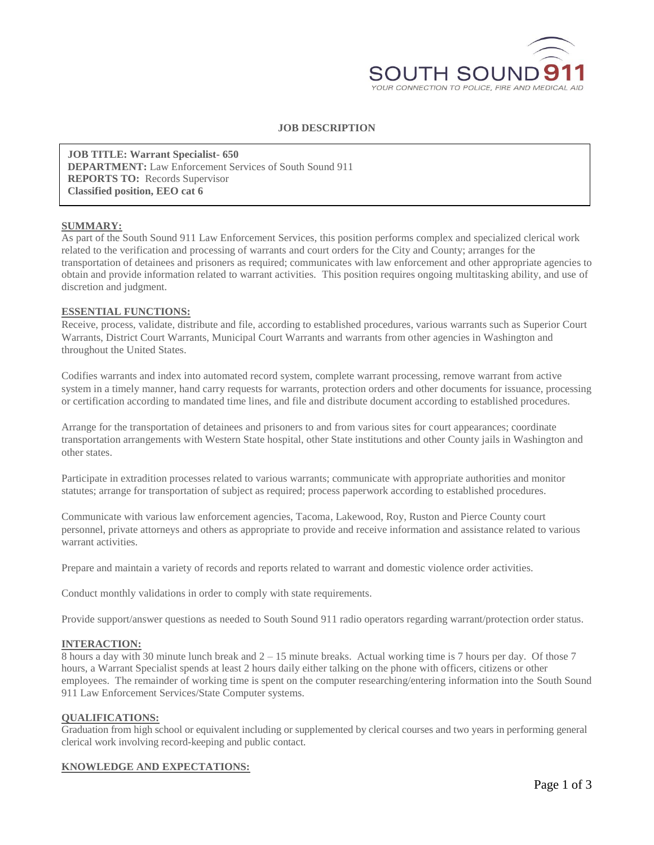

### **JOB DESCRIPTION**

**JOB TITLE: Warrant Specialist- 650 DEPARTMENT:** Law Enforcement Services of South Sound 911 **REPORTS TO:** Records Supervisor **Classified position, EEO cat 6**

### **SUMMARY:**

As part of the South Sound 911 Law Enforcement Services, this position performs complex and specialized clerical work related to the verification and processing of warrants and court orders for the City and County; arranges for the transportation of detainees and prisoners as required; communicates with law enforcement and other appropriate agencies to obtain and provide information related to warrant activities. This position requires ongoing multitasking ability, and use of discretion and judgment.

### **ESSENTIAL FUNCTIONS:**

Receive, process, validate, distribute and file, according to established procedures, various warrants such as Superior Court Warrants, District Court Warrants, Municipal Court Warrants and warrants from other agencies in Washington and throughout the United States.

Codifies warrants and index into automated record system, complete warrant processing, remove warrant from active system in a timely manner, hand carry requests for warrants, protection orders and other documents for issuance, processing or certification according to mandated time lines, and file and distribute document according to established procedures.

Arrange for the transportation of detainees and prisoners to and from various sites for court appearances; coordinate transportation arrangements with Western State hospital, other State institutions and other County jails in Washington and other states.

Participate in extradition processes related to various warrants; communicate with appropriate authorities and monitor statutes; arrange for transportation of subject as required; process paperwork according to established procedures.

Communicate with various law enforcement agencies, Tacoma, Lakewood, Roy, Ruston and Pierce County court personnel, private attorneys and others as appropriate to provide and receive information and assistance related to various warrant activities.

Prepare and maintain a variety of records and reports related to warrant and domestic violence order activities.

Conduct monthly validations in order to comply with state requirements.

Provide support/answer questions as needed to South Sound 911 radio operators regarding warrant/protection order status.

### **INTERACTION:**

8 hours a day with 30 minute lunch break and 2 – 15 minute breaks. Actual working time is 7 hours per day. Of those 7 hours, a Warrant Specialist spends at least 2 hours daily either talking on the phone with officers, citizens or other employees. The remainder of working time is spent on the computer researching/entering information into the South Sound 911 Law Enforcement Services/State Computer systems.

### **QUALIFICATIONS:**

Graduation from high school or equivalent including or supplemented by clerical courses and two years in performing general clerical work involving record-keeping and public contact.

### **KNOWLEDGE AND EXPECTATIONS:**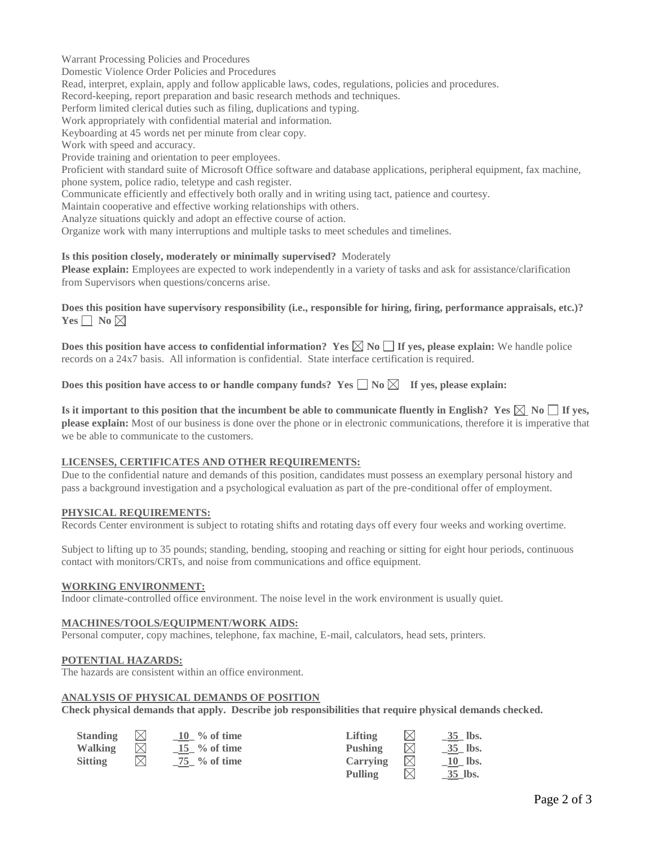Warrant Processing Policies and Procedures

Domestic Violence Order Policies and Procedures

Read, interpret, explain, apply and follow applicable laws, codes, regulations, policies and procedures.

Record-keeping, report preparation and basic research methods and techniques.

Perform limited clerical duties such as filing, duplications and typing.

Work appropriately with confidential material and information.

Keyboarding at 45 words net per minute from clear copy.

Work with speed and accuracy.

Provide training and orientation to peer employees.

Proficient with standard suite of Microsoft Office software and database applications, peripheral equipment, fax machine, phone system, police radio, teletype and cash register.

Communicate efficiently and effectively both orally and in writing using tact, patience and courtesy.

Maintain cooperative and effective working relationships with others.

Analyze situations quickly and adopt an effective course of action.

Organize work with many interruptions and multiple tasks to meet schedules and timelines.

### **Is this position closely, moderately or minimally supervised?** Moderately

**Please explain:** Employees are expected to work independently in a variety of tasks and ask for assistance/clarification from Supervisors when questions/concerns arise.

**Does this position have supervisory responsibility (i.e., responsible for hiring, firing, performance appraisals, etc.)?**   $Yes \Box No \boxtimes$ 

**Does this position have access to confidential information?** Yes  $\boxtimes \boxtimes \boxtimes$  **No**  $\Box$  If yes, please explain: We handle police records on a 24x7 basis. All information is confidential. State interface certification is required.

Does this position have access to or handle company funds? Yes  $\Box$  No  $\boxtimes$  If yes, please explain:

**Is it important to this position that the incumbent be able to communicate fluently in English?** Yes  $\boxtimes$  No  $\Box$  **If** yes, **please explain:** Most of our business is done over the phone or in electronic communications, therefore it is imperative that we be able to communicate to the customers.

## **LICENSES, CERTIFICATES AND OTHER REQUIREMENTS:**

Due to the confidential nature and demands of this position, candidates must possess an exemplary personal history and pass a background investigation and a psychological evaluation as part of the pre-conditional offer of employment.

### **PHYSICAL REQUIREMENTS:**

Records Center environment is subject to rotating shifts and rotating days off every four weeks and working overtime.

Subject to lifting up to 35 pounds; standing, bending, stooping and reaching or sitting for eight hour periods, continuous contact with monitors/CRTs, and noise from communications and office equipment.

# **WORKING ENVIRONMENT:**

Indoor climate-controlled office environment. The noise level in the work environment is usually quiet.

### **MACHINES/TOOLS/EQUIPMENT/WORK AIDS:**

Personal computer, copy machines, telephone, fax machine, E-mail, calculators, head sets, printers.

### **POTENTIAL HAZARDS:**

The hazards are consistent within an office environment.

## **ANALYSIS OF PHYSICAL DEMANDS OF POSITION**

**Check physical demands that apply. Describe job responsibilities that require physical demands checked.**

| <b>Standing</b> |             | $10 \gamma$ of time       | Lifting        | $\bowtie$   | 35 lbs.               |
|-----------------|-------------|---------------------------|----------------|-------------|-----------------------|
| Walking         |             | $15 \gamma$ % of time     | Pushing        | $\boxtimes$ | 35 lbs.               |
| <b>Sitting</b>  | $\boxtimes$ | $\frac{75}{10}$ % of time | Carrying       | $\boxtimes$ | 10 lbs.               |
|                 |             |                           | <b>Pulling</b> | $\boxtimes$ | $\underline{35}$ lbs. |